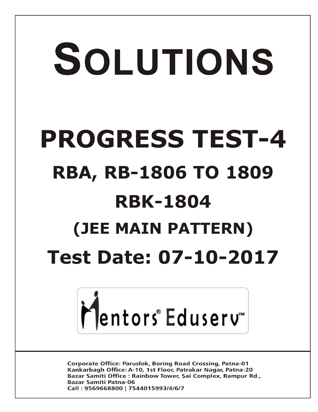# SOLUTIONS **PROGRESS TEST-4 RBA, RB-1806 TO 1809 RBK-1804 (JEE MAIN PATTERN) Test Date: 07-10-2017**



**Corporate Office: Paruslok, Boring Road Crossing, Patna-01** Kankarbagh Office: A-10, 1st Floor, Patrakar Nagar, Patna-20 Bazar Samiti Office: Rainbow Tower, Sai Complex, Rampur Rd., **Bazar Samiti Patna-06** Call: 9569668800 | 7544015993/4/6/7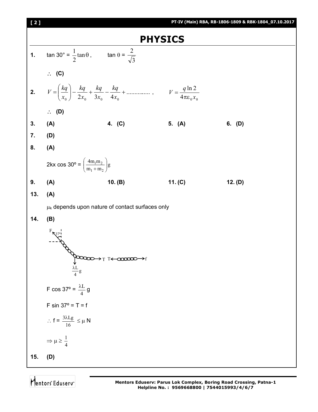

Mentors<sup>e</sup> Eduserv<sup>®</sup>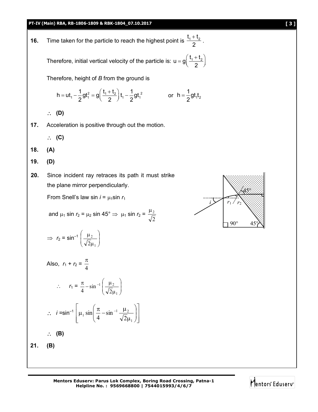**16.** Time taken for the particle to reach the highest point is  $\frac{t_1 + t_2}{2}$ 2  $+\frac{t_2}{2}$ .

> Therefore, initial vertical velocity of the particle is:  $u = g \left( \frac{t_1 + t_2}{2} \right)$ 2  $= g\left(\frac{t_1 + t_2}{2}\right)$

Therefore, height of *B* from the ground is

$$
h=ut_1-\frac{1}{2}gt_1^2=g\left(\frac{t_1+t_2}{2}\right)t_1-\frac{1}{2}gt_1^2 \hspace{1cm}\text{or}\hspace{0.2cm}h=\frac{1}{2}gt_1t_2
$$

**(D)**

- **17.** Acceleration is positive through out the motion.
	- $\therefore$  (C)
- **18. (A)**
- **19. (D)**
- **20.** Since incident ray retraces its path it must strike the plane mirror perpendicularly.

From Snell's law sin  $i = \mu_1 \sin r_1$ 

and 
$$
\mu_1 \sin r_2 = \mu_2 \sin 45^\circ \Rightarrow \mu_1 \sin r_2 = \frac{\mu_2}{\sqrt{2}}
$$

$$
\Rightarrow r_2 = \sin^{-1}\left(\frac{\mu_2}{\sqrt{2}\mu_1}\right)
$$

Also,  $r_1 + r_2 =$ 4  $\pi$ 

$$
\therefore r_1 = \frac{\pi}{4} - \sin^{-1}\left(\frac{\mu_2}{\sqrt{2}\mu_1}\right)
$$

$$
\therefore i = \sin^{-1} \left[ \mu_1 \sin \left( \frac{\pi}{4} - \sin^{-1} \frac{\mu_2}{\sqrt{2} \mu_1} \right) \right]
$$
  

$$
\therefore \quad \textbf{(B)}
$$

$$
21. (B)
$$



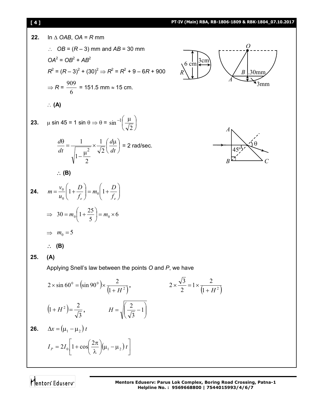# **[ 4 ] PT-IV (Main) RBA, RB-1806-1809 & RBK-1804\_07.10.2017**

22. In A OAB, OA = R mm  
\n
$$
\therefore OB = (R-3) \text{ mm and AB} = 30 \text{ mm}
$$
\n
$$
OA^2 = OB^2 + AB^2
$$
\n
$$
R^2 = (R-3)^2 + (30)^2 \Rightarrow R^2 = R^2 + 9 - 6R + 900
$$
\n
$$
\Rightarrow R = \frac{909}{6} = 151.5 \text{ mm} \approx 15 \text{ cm.}
$$
\n
$$
\therefore (A)
$$
\n23.  $\mu \sin 45 = 1 \sin 0 \Rightarrow 0 = \sin^{-1}(\frac{\mu}{\sqrt{2}})$ \n
$$
\frac{d\theta}{dt} = \frac{1}{\sqrt{1-\frac{\mu^2}{2}}} \times \frac{1}{\sqrt{2}} (\frac{d\mu}{dt}) = 2 \text{ rad/sec.}
$$
\n
$$
\therefore (B)
$$
\n24.  $m = \frac{v_0}{u_0} \left(1 + \frac{D}{f_c}\right) = m_0 \left(1 + \frac{D}{f_c}\right)$ \n
$$
\Rightarrow 30 = m_0 \left(1 + \frac{25}{5}\right) = m_0 \times 6
$$
\n
$$
\Rightarrow m_0 = 5
$$
\n
$$
\therefore (B)
$$
\n25. (A)  
\nApplying Snell's law between the points O and P, we have  
\n
$$
2 \times \sin 60^\circ = (\sin 90^\circ) \times \frac{2}{(1 + H^2)}, \qquad 2 \times \frac{\sqrt{3}}{2} = 1 \times \frac{2}{(1 + H^2)}
$$
\n
$$
\left(1 + H^2\right) = \frac{2}{\sqrt{3}}, \qquad H = \sqrt{\frac{2}{(\sqrt{3}} - 1)}
$$
\n26.  $\Delta x = (\mu_1 - \mu_2) t$ \n
$$
I_P = 2I_0 \left[1 + \cos\left(\frac{2\pi}{\lambda}\right)(\mu_1 - \mu_2) t\right]
$$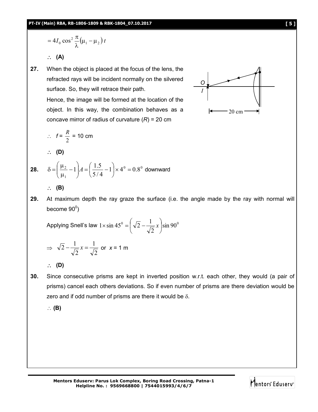$$
=4I_0 \cos^2 \frac{\pi}{\lambda} (\mu_1 - \mu_2) t
$$

**(A)**

**27.** When the object is placed at the focus of the lens, the refracted rays will be incident normally on the silvered surface. So, they will retrace their path.

> Hence, the image will be formed at the location of the object. In this way, the combination behaves as a concave mirror of radius of curvature (*R*) = 20 cm

$$
\therefore f = \frac{R}{2} = 10 \text{ cm}
$$

**(D)**

**28.**  $\delta = \frac{\mu_2}{2} - 1 \left[ A = \frac{1.5}{5.6} - 1 \right] \times 4^0 = 0.8^0$ 1  $\frac{2}{2} - 1$   $|A = \frac{1.5}{5} - 1| \times 4^0 = 0.8$ 5 / 4  $1\left[ A = \left( \frac{1.5}{5/4} - 1 \right) \times 4^0 \right]$  $\bigg)$  $\left(\frac{1.5}{5/4}-1\right)$  $\setminus$  $A = \frac{1.5}{5/4}$  $\bigg)$  $\setminus$  $\overline{\phantom{a}}$  $\setminus$ ſ  $\overline{a}$  $\mu$ μ  $\delta = \frac{\mu_2}{4} - 1$   $|A = \frac{1.5}{5.44} - 1| \times 4^0 = 0.8^0$  downward

**(B)**

**29.** At maximum depth the ray graze the surface (i.e. the angle made by the ray with normal will become 90 $^{\rm o}$ )

Applying Snell's law  $1\times\sin 45^\mathrm{o}=\mid \sqrt{2-\frac{1}{\sqrt{2}}}\,x\mid \sin 90^\mathrm{o}$ 2  $1 \times \sin 45^\circ = \left(\sqrt{2} - \frac{1}{\sqrt{2}}x\right)$  $\bigg)$  $\left(\sqrt{2}-\frac{1}{\sqrt{2}}x\right)$  $\setminus$  $\times$  sin 45<sup>0</sup> =  $\sqrt{2} - \frac{1}{\sqrt{2}}x$ 

$$
\Rightarrow \sqrt{2} - \frac{1}{\sqrt{2}} x = \frac{1}{\sqrt{2}} \text{ or } x = 1 \text{ m}
$$

**(D)**

**30.** Since consecutive prisms are kept in inverted position w.r.t. each other, they would (a pair of prisms) cancel each others deviations. So if even number of prisms are there deviation would be zero and if odd number of prisms are there it would be  $\delta$ .

**(B)**



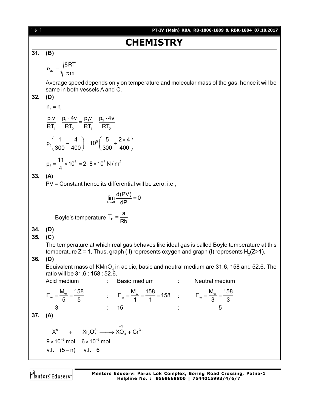**CHAPTERY**  
\n31. (B)  
\n
$$
v_w = \sqrt{\frac{8RT}{\pi m}}
$$
  
\nAverage speed depends only on temperature and molecular mass of the gas, hence it will be  
\nsame in both vessels A and C.  
\n32. (D)  
\n $n_r = n_1$   
\n $\frac{p_1v}{RT_1} + \frac{p_1 \cdot 4v}{RT_2} = \frac{p_1v}{RT_1} + \frac{p_2 \cdot 4v}{RT_2}$   
\n $p_1(\frac{1}{300} + \frac{4}{400}) = 10^5(\frac{5}{300} + \frac{2 \times 4}{400})$   
\n $p_r = \frac{1}{4} \times 10^5 = 2 \cdot 8 \times 10^5 N/m^2$   
\n33. (A)  
\nPV = Constant hence its differential will be zero, i.e.,  
\n $\lim_{h \to 0} \frac{d(PV)}{dP} = 0$   
\nBoyle's temperature  $T_n = \frac{a}{Rb}$   
\n34. (D)  
\n35. (C)  
\nThe temperature at which real gas behaves like ideal gas is called Boyle temperature at this  
\ntemperature Z = 1, Thus, graph (II) represents oxygen and graph (I) represents H<sub>2</sub>(Z>1).  
\n36. (D)  
\n36. (D)  
\nEquivalent mass of KMO<sub>a</sub> in a cidic, basic and neutral medium are 31.6, 158 and 52.6. The  
\nratio will be 31.6; 158; 52.6.  
\nAcid medium  
\n $E_w = \frac{M_w}{5} = \frac{158}{5}$   $\therefore E_w = \frac{M_w}{1} = \frac{158}{1} = 158 : E_w = \frac{M_w}{3} = \frac{158}{3}$   
\n37. (A)  
\n $X^{n*} + Xr_2O_7^2 \longrightarrow xO_3^2 + Cr^{3*}$   
\n $9 \times 10^{-3} \text{ mol } 6 \times 10^{-3} \text{ mol}$   
\n $v.f. = (5-n) \t v.f. = 6$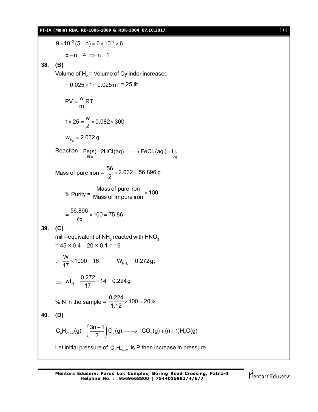$9 \times 10^{-3}$  (5 - n) = 6  $\times 10^{-3} \times 6$  $5 - n = 4 \Rightarrow n = 1$ **38. (B)** Volume of  $\mathsf{H}_{_2}$  = Volume of Cylinder increased  $=$  0.025  $\times$  1  $=$  0.025 m $^3$  = 25 lit  $PV = \frac{W}{A}RT$ m  $=$  $1 \times 25 = \frac{w}{2} \times 0.082 \times 300$ 2  $\times$  25 =  $\frac{1}{2}$   $\times$  0.082  $\times$ 3  $w_{H_2} = 2.032 g$ Reaction : Fe(s)+ 2HCl(aq) ——> $\mathsf{FeCl}_2$ (aq.) +  $\mathsf{H}_2$ <br> $\overset{\mathsf{g}}{_{2\mathsf{g}}}$  $Fe(s)$ + 2HCl(aq) ——>  $FeCl<sub>2</sub>(aq.) + H$ Mass of pure iron =  $\frac{56}{2}$  × 2.032 = 56.896 g 2  $\times$  2.032 = 5 % Purity =  $\frac{\text{Mass of pure iron}}{\text{Mass of Impure iron}} \times 100$ Mass of Impure iron  $\times$  $\frac{56.896}{75}$  × 100 = 75.86 75  $=\frac{30.000}{75} \times 100 =$ **39. (C)** milli–equivalent of NH $_{\rm_3}$  reacted with HNO $_{\rm_3}$  $= 45 \times 0.4 - 20 \times 0.1 = 16$  $\frac{W}{17}$  × 1000 = 16; ∴  $\frac{1}{17}$  × 1000 = 16;  $W_{NH_3}$  = 0.272 g;  $\Rightarrow$  wt<sub>N</sub> =  $\frac{0.272}{17}$  × 14 = 0.224 g 17  $=\frac{0.212}{17} \times 14 = 0$ % N in the sample =  $\frac{0.224}{4.43}$  × 100 = 20% 1.12  $\times$  100 = 2 **40. (D)**  $C_nH_{2n+2}(g) + \left(\frac{3n+1}{2}\right)O_2(g)$   $\longrightarrow$  nCO<sub>2</sub>(g) + (n + 1)H<sub>2</sub>O(g)  $^{+2(9)'}$  (2  $+\left(\frac{3n+1}{2}\right)O_2(g)$   $\longrightarrow$  nCO<sub>2</sub>(g) + (n + 1)H<sub>2</sub>O(g) Let initial pressure of  $\mathsf{C}_\mathsf{n}\mathsf{H}_{\mathsf{2n}+2}$  is P then increase in pressure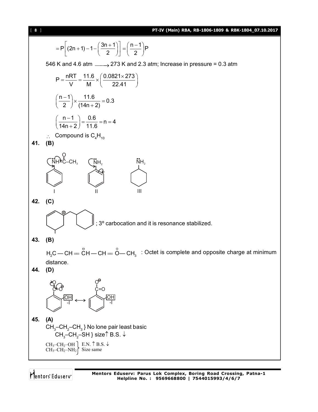$\overline{\text{R}}$  **PRK-1804 07.10.20** 

$$
= P\left[(2n+1)-1-(\frac{3n+1}{2})\right] = \left(\frac{n-1}{2}\right)P
$$
\n546 K and 4.6 atm  $\longrightarrow$  273 K and 2.3 atm; increase in pressure = 0.3 atm  
\n
$$
P = \frac{nRT}{W} = \frac{11.6}{M} \times \left(\frac{0.0821 \times 273}{22.41}\right)
$$
\n
$$
\left(\frac{n-1}{2}\right) \times \frac{11.6}{(14n+2)} = 0.3
$$
\n
$$
\left(\frac{n-1}{14n+2}\right) = \frac{0.6}{11.6} = n = 4
$$
\n
$$
\therefore \text{ Compound is } C_{6}H_{10}
$$
\n41. (B)  
\n
$$
\left(\frac{N}{14}\right) = \frac{0.6}{11.6} = n = 4
$$
\n
$$
\therefore \text{ Compound is } C_{6}H_{10}
$$
\n42. (C)  
\n43. (B)  
\n
$$
H_{2}C - CH = \overset{6}{C}H - CH = \overset{6}{C} - CH_{1}
$$
 : Octet is complete and opposite charge at minimum distance.  
\n44. (D)  
\n
$$
\overset{60}{C} \underset{C}{C} \underset{C}{C} \underset{C}{C} \underset{C}{C} \underset{C}{C} \underset{C}{C} \underset{C}{C} \underset{C}{C} \underset{C}{C}} \underset{C}{C} \underset{C}{C} \underset{C}{C} \underset{C}{C} \underset{C}{C} \underset{C}{C} \underset{C}{C} \underset{C}{C} \underset{C}{C} \underset{C}{C} \underset{C}{C} \underset{C}{C} \underset{C}{C} \underset{C}{C} \underset{C}{C} \underset{C}{C} \underset{C}{C} \underset{C}{C} \underset{C}{C} \underset{C}{C} \underset{C}{C} \underset{C}{C} \underset{C}{C} \underset{C}{C} \underset{C}{C} \underset{C}{C} \underset{C}{C} \underset{C}{C} \underset{C}{C} \underset{C}{C} \underset{C}{C} \underset{C}{C} \underset{C}{
$$

Mentors<sup>®</sup> Eduserv<sup>®</sup>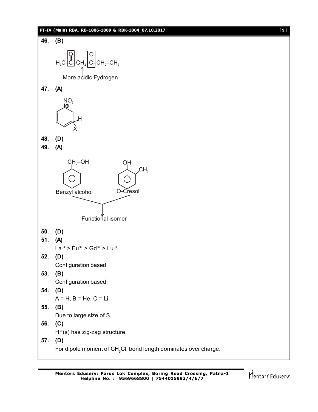## **PT-IV (Main) RBA, RB-1806-1809 & RBK-1804\_07.10.2017** [ **9** ]



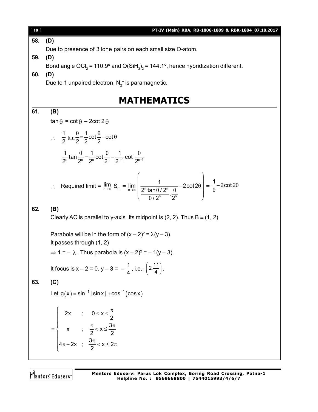| $[10]$ | PT-IV (Main) RBA, RB-1806-1809 & RBK-1804_07.10.2017                                                                                                                                                                      |
|--------|---------------------------------------------------------------------------------------------------------------------------------------------------------------------------------------------------------------------------|
| 58.    | (D)                                                                                                                                                                                                                       |
|        | Due to presence of 3 lone pairs on each small size O-atom.                                                                                                                                                                |
| 59.    | (D)                                                                                                                                                                                                                       |
|        | Bond angle OCl <sub>2</sub> = 110.9° and O(SiH <sub>3</sub> ) <sub>2</sub> = 144.1°, hence hybridization different.                                                                                                       |
| 60.    | (D)                                                                                                                                                                                                                       |
|        | Due to 1 unpaired electron, $N_2^+$ is paramagnetic.                                                                                                                                                                      |
|        |                                                                                                                                                                                                                           |
|        | <b>MATHEMATICS</b>                                                                                                                                                                                                        |
| 61.    | (B)                                                                                                                                                                                                                       |
|        | $\tan \theta = \cot \theta - 2 \cot 2 \theta$                                                                                                                                                                             |
|        |                                                                                                                                                                                                                           |
|        | $\therefore \frac{1}{2} \tan \frac{\theta}{2} = \frac{1}{2} \cot \frac{\theta}{2} - \cot \theta$                                                                                                                          |
|        |                                                                                                                                                                                                                           |
|        | $\frac{1}{2^n}$ tan $\frac{\theta}{2^n} = \frac{1}{2^n}$ cot $\frac{\theta}{2^n} - \frac{1}{2^{n-1}}$ cot $\frac{\theta}{2^{n-1}}$                                                                                        |
|        |                                                                                                                                                                                                                           |
|        | : Required limit = $\lim_{n\to\infty} S_n = \lim_{n\to\infty} \left( \frac{1}{\frac{2^n \tan \theta / 2^n}{2^n \tan \theta / 2^n} \cdot \frac{\theta}{2^n}} - 2 \cot 2\theta \right) = \frac{1}{\theta} - 2 \cot 2\theta$ |
|        |                                                                                                                                                                                                                           |
|        |                                                                                                                                                                                                                           |
| 62.    | (B)                                                                                                                                                                                                                       |
|        | Clearly AC is parallel to y-axis. Its midpoint is $(2, 2)$ . Thus B = $(1, 2)$ .                                                                                                                                          |
|        |                                                                                                                                                                                                                           |
|        | Parabola will be in the form of $(x - 2)^2 = \lambda(y - 3)$ .                                                                                                                                                            |
|        | It passes through $(1, 2)$                                                                                                                                                                                                |
|        | $\Rightarrow$ 1 = - $\lambda$ . Thus parabola is $(x – 2)^2 = – 1(y – 3)$ .                                                                                                                                               |
|        |                                                                                                                                                                                                                           |
|        | It focus is $x - 2 = 0$ . $y - 3 = -\frac{1}{4}$ , i.e., $\left(2, \frac{11}{4}\right)$ .                                                                                                                                 |
| 63.    | (C)                                                                                                                                                                                                                       |
|        | Let $g(x) = \sin^{-1}  \sin x  + \cos^{-1}(\cos x)$                                                                                                                                                                       |
|        |                                                                                                                                                                                                                           |
|        |                                                                                                                                                                                                                           |
|        |                                                                                                                                                                                                                           |
|        | $=\begin{cases} 2x ; & 0 ≤ x ≤ \frac{\pi}{2} \\ \pi ; & \frac{\pi}{2} < x ≤ \frac{3\pi}{2} \\ 4\pi - 2x ; & \frac{3\pi}{2} < x ≤ 2\pi \end{cases}$                                                                        |
|        |                                                                                                                                                                                                                           |
|        |                                                                                                                                                                                                                           |
|        |                                                                                                                                                                                                                           |

Mentors<sup>e</sup> Eduserv-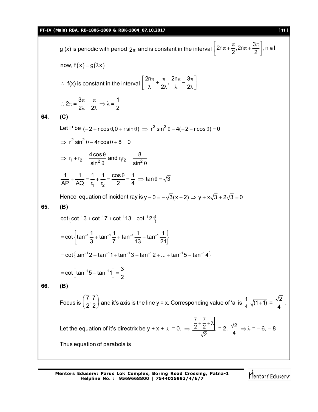#### **PT-IV (Main) RBA, RB-1806-1809 & RBK-1804\_07.10.2017** [ **11** ]

g (x) is periodic with period  $2\pi$  and is constant in the interval  $2n\pi + \frac{\pi}{2}, 2n\pi + \frac{3\pi}{2}$ , n  $\in I$  $2^{7}$  2  $\left\lfloor 2n\pi + \frac{\pi}{2}, 2n\pi + \frac{3\pi}{2} \right\rfloor, n \in I$ now,  $f(x) = g(\lambda x)$  $\therefore$  f(x) is constant in the interval  $\frac{2n\pi}{2} + \frac{\pi}{2}$ ,  $\frac{2n\pi}{2} + \frac{3\pi}{2}$  $2\lambda$ '  $\lambda$  27  $\left[\frac{2n\pi}{\lambda}+\frac{\pi}{2\lambda},\frac{2n\pi}{\lambda}+\frac{3\pi}{2\lambda}\right]$  $2\pi = \frac{3\pi}{2} - \frac{\pi}{2} \Rightarrow \lambda = \frac{1}{2}$  $2\lambda$  2 2  $\therefore 2\pi = \frac{3\pi}{2} - \frac{\pi}{2} \Rightarrow \lambda = \frac{\pi}{2}$  $\lambda$  2 $\lambda$ **64. (C)** Let P be  $(-2 + r \cos \theta, 0 + r \sin \theta) \Rightarrow r^2 \sin^2 \theta - 4(-2 + r \cos \theta) = 0$  $\Rightarrow$  r<sup>2</sup> sin<sup>2</sup>  $\theta$  – 4r cos  $\theta$  + 8 = 0  $r_1 + r_2 = \frac{4 \cos \theta}{\sin^2 \theta}$  and  $r_1 r_2 = \frac{8}{\sin^2 \theta}$  $\sin^2 \theta$  ' sin  $\Rightarrow$  r<sub>1</sub> + r<sub>2</sub> =  $\frac{4 \cos \theta}{2}$  and r<sub>1</sub>r<sub>2</sub> = - $\theta$  ' sin<sup>2</sup>  $\theta$ 1 2  $\frac{1}{10} + \frac{1}{10} = \frac{1}{1} + \frac{1}{1} = \frac{\cos \theta}{\theta} = \frac{1}{1} \Rightarrow \tan \theta = \sqrt{3}$ AP AQ r<sub>1</sub> r<sub>2</sub> 2 4  $+\frac{1}{10} = \frac{1}{1} + \frac{1}{1} = \frac{\cos \theta}{\cos \theta} = \frac{1}{1} \Rightarrow \tan \theta = \frac{1}{1}$ Hence equation of incident ray is  $y - 0 = -\sqrt{3}(x + 2) \Rightarrow y + x\sqrt{3} + 2\sqrt{3} = 0$ **65. (B)**  $\cot \{ \cot^{-1} 3 + \cot^{-1} 7 + \cot^{-1} 13 + \cot^{-1} 21 \}$  $\cot \left\{ \tan^{-1} \frac{1}{2} + \tan^{-1} \frac{1}{2} + \tan^{-1} \frac{1}{2} + \tan^{-1} \frac{1}{2} \right\}$  $= \cot \left\{ \tan^{-1} \frac{1}{3} + \tan^{-1} \frac{1}{7} + \tan^{-1} \frac{1}{13} + \tan^{-1} \frac{1}{21} \right\}$ =  $\cot \left\{ \tan^{-1}2 - \tan^{-1}1 + \tan^{-1}3 - \tan^{-1}2 + ... + \tan^{-1}5 - \tan^{-1}4 \right\}$ cot  $\lceil \tan^{-1} 5 - \tan^{-1} 1 \rceil = \frac{3}{2}$ 2  $=$   $\cot \left[ \tan^{-1} 5 - \tan^{-1} 1 \right] = \frac{5}{3}$ **66. (B)** Focus is  $\frac{7}{2}, \frac{7}{2}$  $\left(\frac{7}{2}, \frac{7}{2}\right)$  and it's axis is the line y = x. Corresponding value of 'a' is  $\frac{1}{4}\sqrt{(1+1)} = \frac{\sqrt{2}}{4}$  $\frac{1}{4}$ . Let the equation of it's directrix be y + x +  $_{\lambda}$  = 0.  $\Rightarrow$ 7 7  $2^{\degree}$  2 2  $\frac{\left|+\frac{1}{2}+\lambda\right|}{\sqrt{2}}$  = 2.  $\frac{\sqrt{2}}{4}$   $\Rightarrow \lambda = -6, -8$ Thus equation of parabola is

Mentors<sup>®</sup> Eduserv<sup>®</sup>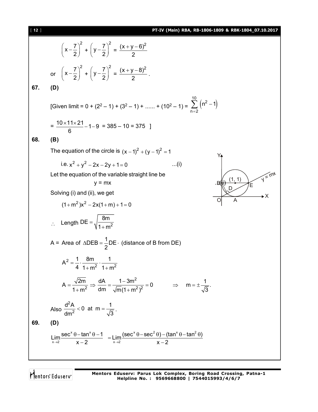$$
\left(x - \frac{7}{2}\right)^2 + \left(y - \frac{7}{2}\right)^2 = \frac{(x + y - 6)^2}{2}
$$
\nor  $\left(x - \frac{7}{2}\right)^2 + \left(y - \frac{7}{2}\right)^2 = \frac{(x + y - 8)^2}{2}$ \n67. (D)  
\n
$$
[Given limit = 0 + (2^2 - 1) + (3^2 - 1) + \dots + (10^2 - 1) = \sum_{n=2}^{10} \left(n^2 - 1\right)
$$
\n
$$
= \frac{10 \times 11 \times 21}{6} - 1 - 9 = 385 - 10 = 375
$$
\n68. (B)  
\nThe equation of the circle is  $(x - 1)^2 + (y - 1)^2 = 1$   
\ni.e.  $x^2 + y^2 - 2x - 2y + 1 = 0$  ...(i)  
\nLet the equation of the variable straight line be  
\n $y = mx$   
\nSolving (i) and (ii), we get  
\n $(1 + m^2)x^2 - 2x(1 + m) + 1 = 0$   
\n $\therefore$  Length DE =  $\sqrt{\frac{8m}{1 + m^2}}$   
\nA = Area of  $\triangle$  DE =  $\frac{1}{2}$  DE: (distance of B from DE)  
\n $A^2 = \frac{1}{4} \cdot \frac{8m}{1 + m^2}$   
\n $A = \frac{\sqrt{2m}}{1 + m^2} \cdot \frac{1}{1 + m^2}$   
\n $A = \frac{\sqrt{2m}}{1 + m^2} \Rightarrow \frac{dA}{dm} = \frac{1 - 3m^2}{\sqrt{m}(1 + m^2)^2} = 0 \Rightarrow m = \pm \frac{1}{\sqrt{3}}$   
\nAlso  $\frac{d^2A}{dm^2} < 0$  at  $m = \frac{1}{\sqrt{3}}$ .  
\n**69.** (D)  
\n
$$
\lim_{x \to 2} \frac{\sec^x 0 - \tan^x 0 - 1}{x - 2} = \lim_{x \to 2} \frac{(\sec^x 0 - \sec^2 0) - (\tan^x 0 - \tan^2 0)}{x - 2}
$$

Mentors<sup>e</sup> Eduserv<sup>-</sup>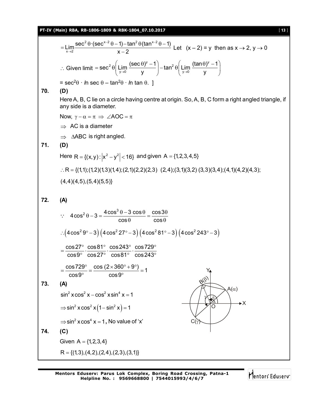## **PT-IV (Main) RBA, RB-1806-1809 & RBK-1804\_07.10.2017** [ **13** ]

$$
= \lim_{x \to 2} \frac{\sec^2 \theta \cdot (\sec^{x} 2 \theta - 1) - \tan^2 \theta (\tan^{x} 2 \theta - 1)}{x - 2} \text{ Let } (x - 2) = y \text{ then as } x \to 2, y \to 0
$$
  
\n∴ Given limit =  $\sec^2 \theta \left( \lim_{y \to 0} \frac{(\sec \theta)^y - 1}{y} \right) - \tan^2 \theta \left( \lim_{y \to 0} \frac{(\tan \theta)^y - 1}{y} \right)$   
\n=  $\sec^2 \theta \cdot \ln \sec \theta - \tan^2 \theta \cdot \ln \tan \theta$ . ]  
\n70. (D)  
\nHere A, B, C lie on a circle having centre at origin. So, A, B, C form a right-angled triangle, if  
\nany side is a diameter  
\nNow,  $y - \alpha = \pi \Rightarrow \angle AOC = \pi$   
\n $\Rightarrow AC$  is a diameter  
\n $\Rightarrow \triangle ABC$  is right-angled.  
\n71. (D)  
\nHere R = { $(x, y): |x^2 - y^2| < 16$ } and given A = {1,2,3,4,5}  
\n∴ R = { $(1,1); (1,2); (1,3); (1,4); (2,1); (2,2); (2,3); (2,4); (3,1); (3,2); (3,3); (3,4); (4,1); (4,2); (4,3);\n(4,4); (4,5), (5,4); (5,5)}\n72. (A)\n $\therefore 4 \cos^2 \theta - 3 = \frac{4 \cos^3 \theta - 3 \cos \theta}{\cos \theta} = \frac{\cos 3\theta}{\cos \theta}$   
\n∴  $(4 \cos^2 9^\circ - 3) (4 \cos^2 27^\circ - 3) (4 \cos^2 81^\circ - 3) (4 \cos^2 243^\circ - 3)$   
\n $= \frac{\cos 27^\circ \cos 81^\circ \cos 243^\circ}{\cos 87^\circ \cos 27^\circ} = \frac{\cos 243^\circ}{\cos 87^\circ} = \frac{\cos 243^\circ}{\cos 89^\circ} = \frac{\cos (2 \times 360^\circ + 9^\circ)}{\cos 9^\circ} = 1$   
\n73. (A)  
\n$ 

Mentors<sup>e</sup> Eduserv<sup>-</sup>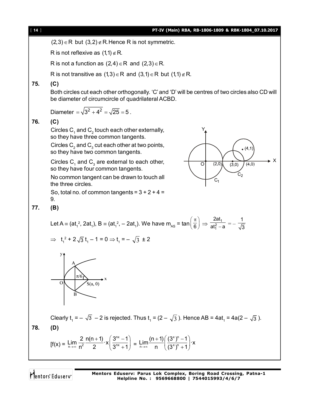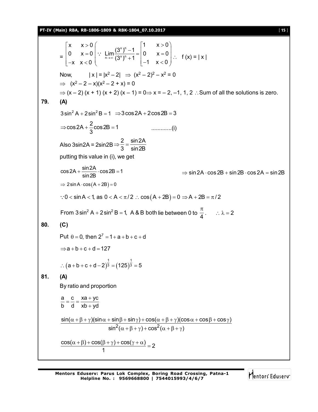**PT-IV (Main) RBA, RB-1806-1809 & RBK-1804\_07.10.2017** [ **15** ]

=  $x \times 0$ 0  $x = 0$  $x \quad x < 0$  $\begin{vmatrix} x & x \end{vmatrix}$  $\begin{vmatrix} 0 & x \end{vmatrix}$  $\begin{bmatrix} -x & x < 0 \end{bmatrix}$ x yn  $\sum_{n \to \infty}$  (3<sup>x</sup>)<sup>n</sup> 1  $x > 0$ Lim  $\left| \frac{(3^{x})^{n}-1}{(3^{x})^{n}-1} \right| = 0$   $x = 0$  $(3^x)^n + 1$  $\rightarrow \infty$  (3<sup>x</sup>)"+1  $\vert -1 \times <0 \vert$  $\begin{pmatrix} 1 & x > 0 \end{pmatrix}$ ∴ Lim $\left[\because \lim_{n\to\infty} \frac{(3^x)^n-1}{(3^x)^n+1} = \begin{vmatrix} 0 & x = 0 \\ 0 & -1 \end{vmatrix}\right]$ .  $\begin{pmatrix} 0 & 1 \\ 1 & 2 \end{pmatrix}$  $\therefore$  Lim  $\frac{(0)^{n}}{(3^{x})^{n}+1} = |0 \quad x = 0|$   $\therefore$  f (x) = | x | Now,  $|x| = |x^2 - 2| \Rightarrow (x^2 - 2)^2 - x^2 = 0$  $\implies$   $(x^2 - 2 - x)(x^2 - 2 + x) = 0$  $\Rightarrow$  (x – 2) (x + 1) (x + 2) (x – 1) = 0 $\Rightarrow$  x = – 2, –1, 1, 2  $\therefore$  Sum of all the solutions is zero. **79. (A)**  $3 \sin^2 A + 2 \sin^2 B = 1 \Rightarrow 3 \cos 2A + 2 \cos 2B = 3$  $\cos 2A + \frac{2}{6} \cos 2B = 1$ 3 .............(i) Also 3sin2A = 2sin2B 2 sin2A 3 sin2B  $\Rightarrow \frac{2}{2} = \frac{1}{2}$ putting this value in (i), we get  $\cos 2A + \frac{\sin 2A}{\sin 2B} \cdot \cos 2B = 1$ sin2B  $\Rightarrow$  sin 2A  $\cdot$  cos 2B  $+$  sin 2B  $\cdot$  cos 2A = sin 2B  $\Rightarrow$  2sin A  $\cdot$  cos  $(A + 2B) = 0$ : $0 < \sin A < 1$ , as  $0 < A < \pi/2$  :  $\cos(A + 2B) = 0 \Rightarrow A + 2B = \pi/2$ From 3 sin $^2$  A + 2 sin $^2$  B = 1, A & B both lie between 0 to  $\frac{\pi}{4}$ .  $\therefore \lambda = 2$ **80. (C)** Put  $\theta = 0$ , then  $2^7 = 1 + a + b + c + d$  $\Rightarrow$  a + b + c + d = 127  $(a + b + c + d - 2)^3 = (125)^3$ ∴  $(a + b + c + d - 2)^{\frac{1}{3}} = (125)^{\frac{1}{3}} = 5$ **81. (A)** By ratio and proportion a c xa+yc b d xb yd  $=\frac{c}{1}=\frac{xa + b}{b}$  $\ddot{}$  $2(\alpha + \beta + \gamma) + \cos^2 \gamma$  $\sin(\alpha + \beta + \gamma)(\sin \alpha + \sin \beta + \sin \gamma) + \cos(\alpha + \beta + \gamma)(\cos \alpha + \cos \beta + \cos \gamma)$  $\sin^2(\alpha + \beta + \gamma) + \cos^2(\alpha + \beta + \gamma)$  $\alpha + \beta + \gamma$ )(sin  $\alpha + \sin \beta + \sin \gamma$ ) + cos( $\alpha + \beta + \gamma$ )(cos  $\alpha + \cos \beta + \cos \gamma$ )  $\alpha + \beta + \gamma$  +  $\cos^2(\alpha + \beta + \gamma)$  $\frac{\cos(\alpha+\beta)+\cos(\beta+\gamma)+\cos(\gamma+\alpha)}{2}=2$ 1  $\frac{\alpha + \beta + \cos(\beta + \gamma) + \cos(\gamma + \alpha)}{4} =$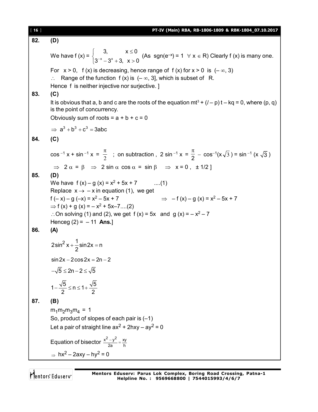[ **16** ] **PT-IV (Main) RBA, RB-1806-1809 & RBK-1804\_07.10.2017 82. (D)** We have  $f(x) = \begin{cases} 2^{-x} & x \end{cases}$ 3,  $x \le 0$  $3^{-x} - 3^{x} + 3$ ,  $x > 0$  $\begin{cases} 3, & x \leq$  $\int 3^{-x} - 3^{x} + 3$ ,  $x > 0$ (As sgn(e<sup>-x</sup>) = 1  $\forall$  x  $\in$  R) Clearly f (x) is many one. For  $x > 0$ , f (x) is decreasing, hence range of f (x) for  $x > 0$  is  $(-\infty, 3)$  $\therefore$  Range of the function f (x) is  $(-\infty, 3]$ , which is subset of R. Hence f is neither injective nor surjective. ] **83. (C)** It is obvious that a, b and c are the roots of the equation  $mt^3 + (l - p)t - kq = 0$ , where  $(p, q)$ is the point of concurrency. Obviously sum of roots =  $a + b + c = 0$  $\Rightarrow$  a<sup>3</sup> + b<sup>3</sup> + c<sup>3</sup> = 3abc **84. (C)**  $\cos^{-1} x + \sin^{-1} x = \frac{\pi}{2}$  $\frac{\pi}{2}$  ; on subtraction , 2 sin <sup>-1</sup> x =  $\frac{\pi}{2}$  $\frac{\pi}{2}$  – cos<sup>-1</sup>(x  $\sqrt{3}$ ) = sin<sup>-1</sup> (x  $\sqrt{3}$ )  $\Rightarrow$  2  $\alpha$  =  $\beta$   $\Rightarrow$  2 sin  $\alpha$  cos  $\alpha$  = sin  $\beta$   $\Rightarrow$  x = 0,  $\pm$  1/2 ] **85. (D)** We have  $f(x) - g(x) = x^2 + 5x + 7$  ....(1) Replace  $x \rightarrow -x$  in equation (1), we get f  $(-x) - g(-x) = x^2 - 5x + 7$  $-5x + 7$   $\implies$   $- f (x) - g (x) = x^2 - 5x + 7$  $\Rightarrow$  f (x) + g (x) = – x<sup>2</sup> + 5x–7....(2)  $\therefore$  On solving (1) and (2), we get f (x) = 5x and g (x) =  $-x^2 - 7$ Henceg (2) = – 11 **Ans.**] **86. (A)**  $2\sin^2 x + \frac{1}{2}\sin 2x = n$ 2  $sin 2x - 2cos 2x = 2n - 2$  $-\sqrt{5} \leq 2n - 2 \leq \sqrt{5}$  $1 - \frac{\sqrt{5}}{2} \le n \le 1 + \frac{\sqrt{5}}{2}$ 2  $2$ **87. (B)**  $m_1m_2m_3m_4 = 1$ So, product of slopes of each pair is (–1) Let a pair of straight line  $ax^2 + 2hxy - ay^2 = 0$ Equation of bisector  $\frac{x^2-y^2}{2} = \frac{xy}{b}$ 2a h  $\frac{-y^2}{y}$  =  $\Rightarrow$  hx<sup>2</sup> – 2axy – hy<sup>2</sup> = 0